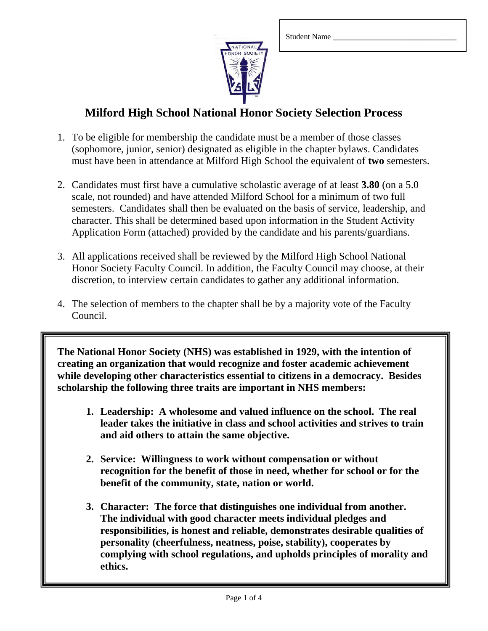

### **Milford High School National Honor Society Selection Process**

- 1. To be eligible for membership the candidate must be a member of those classes (sophomore, junior, senior) designated as eligible in the chapter bylaws. Candidates must have been in attendance at Milford High School the equivalent of **two** semesters.
- 2. Candidates must first have a cumulative scholastic average of at least **3.80** (on a 5.0 scale, not rounded) and have attended Milford School for a minimum of two full semesters. Candidates shall then be evaluated on the basis of service, leadership, and character. This shall be determined based upon information in the Student Activity Application Form (attached) provided by the candidate and his parents/guardians.
- 3. All applications received shall be reviewed by the Milford High School National Honor Society Faculty Council. In addition, the Faculty Council may choose, at their discretion, to interview certain candidates to gather any additional information.
- 4. The selection of members to the chapter shall be by a majority vote of the Faculty Council.

**The National Honor Society (NHS) was established in 1929, with the intention of creating an organization that would recognize and foster academic achievement while developing other characteristics essential to citizens in a democracy. Besides scholarship the following three traits are important in NHS members:**

- **1. Leadership: A wholesome and valued influence on the school. The real leader takes the initiative in class and school activities and strives to train and aid others to attain the same objective.**
- **2. Service: Willingness to work without compensation or without recognition for the benefit of those in need, whether for school or for the benefit of the community, state, nation or world.**
- **3. Character: The force that distinguishes one individual from another. The individual with good character meets individual pledges and responsibilities, is honest and reliable, demonstrates desirable qualities of personality (cheerfulness, neatness, poise, stability), cooperates by complying with school regulations, and upholds principles of morality and ethics.**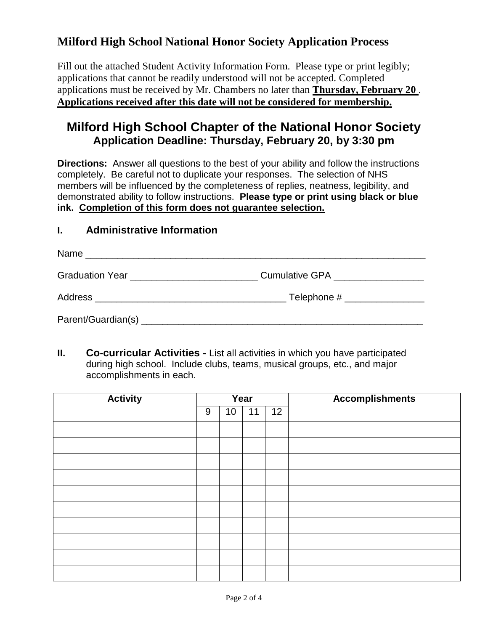# **Milford High School National Honor Society Application Process**

Fill out the attached Student Activity Information Form. Please type or print legibly; applications that cannot be readily understood will not be accepted. Completed applications must be received by Mr. Chambers no later than **Thursday, February 20** . **Applications received after this date will not be considered for membership.**

# **Milford High School Chapter of the National Honor Society Application Deadline: Thursday, February 20, by 3:30 pm**

**Directions:** Answer all questions to the best of your ability and follow the instructions completely. Be careful not to duplicate your responses. The selection of NHS members will be influenced by the completeness of replies, neatness, legibility, and demonstrated ability to follow instructions. **Please type or print using black or blue ink. Completion of this form does not guarantee selection.**

#### **I. Administrative Information**

| Name<br><u> 1980 - Jan Barbara, Amerikaansk politik (</u> † 1920) |                                 |
|-------------------------------------------------------------------|---------------------------------|
| Graduation Year ____________________________                      | Cumulative GPA <u>contracts</u> |
|                                                                   | Telephone # _________________   |
|                                                                   |                                 |

**II. Co-curricular Activities -** List all activities in which you have participated during high school. Include clubs, teams, musical groups, etc., and major accomplishments in each.

| <b>Activity</b> | Year |                 |    |    | <b>Accomplishments</b> |  |
|-----------------|------|-----------------|----|----|------------------------|--|
|                 | 9    | 10 <sup>°</sup> | 11 | 12 |                        |  |
|                 |      |                 |    |    |                        |  |
|                 |      |                 |    |    |                        |  |
|                 |      |                 |    |    |                        |  |
|                 |      |                 |    |    |                        |  |
|                 |      |                 |    |    |                        |  |
|                 |      |                 |    |    |                        |  |
|                 |      |                 |    |    |                        |  |
|                 |      |                 |    |    |                        |  |
|                 |      |                 |    |    |                        |  |
|                 |      |                 |    |    |                        |  |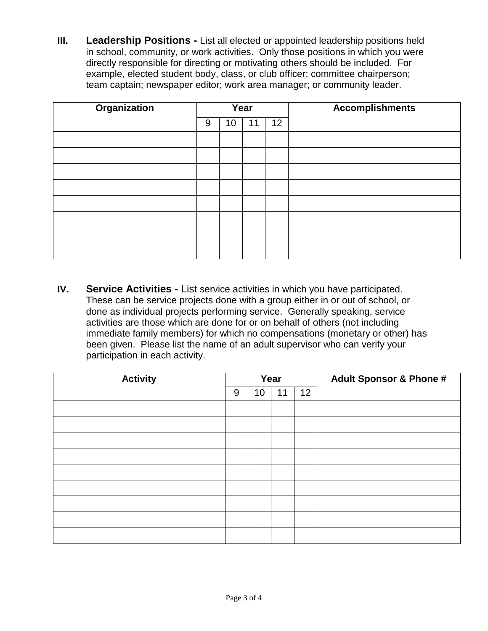**III.** Leadership Positions - List all elected or appointed leadership positions held in school, community, or work activities. Only those positions in which you were directly responsible for directing or motivating others should be included. For example, elected student body, class, or club officer; committee chairperson; team captain; newspaper editor; work area manager; or community leader.

| <b>Organization</b> | Year |    |    |    | <b>Accomplishments</b> |  |
|---------------------|------|----|----|----|------------------------|--|
|                     | 9    | 10 | 11 | 12 |                        |  |
|                     |      |    |    |    |                        |  |
|                     |      |    |    |    |                        |  |
|                     |      |    |    |    |                        |  |
|                     |      |    |    |    |                        |  |
|                     |      |    |    |    |                        |  |
|                     |      |    |    |    |                        |  |
|                     |      |    |    |    |                        |  |
|                     |      |    |    |    |                        |  |

**IV. Service Activities -** List service activities in which you have participated. These can be service projects done with a group either in or out of school, or done as individual projects performing service. Generally speaking, service activities are those which are done for or on behalf of others (not including immediate family members) for which no compensations (monetary or other) has been given. Please list the name of an adult supervisor who can verify your participation in each activity.

| <b>Activity</b> | Year |    |    |    | <b>Adult Sponsor &amp; Phone #</b> |
|-----------------|------|----|----|----|------------------------------------|
|                 | 9    | 10 | 11 | 12 |                                    |
|                 |      |    |    |    |                                    |
|                 |      |    |    |    |                                    |
|                 |      |    |    |    |                                    |
|                 |      |    |    |    |                                    |
|                 |      |    |    |    |                                    |
|                 |      |    |    |    |                                    |
|                 |      |    |    |    |                                    |
|                 |      |    |    |    |                                    |
|                 |      |    |    |    |                                    |